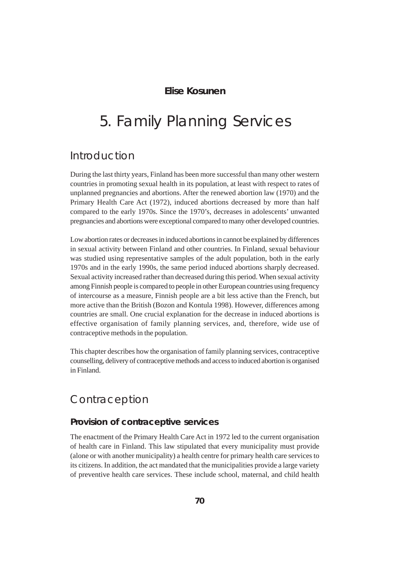### **Elise Kosunen**

# 5. Family Planning Services

# Introduction

During the last thirty years, Finland has been more successful than many other western countries in promoting sexual health in its population, at least with respect to rates of unplanned pregnancies and abortions. After the renewed abortion law (1970) and the Primary Health Care Act (1972), induced abortions decreased by more than half compared to the early 1970s. Since the 1970's, decreases in adolescents' unwanted pregnancies and abortions were exceptional compared to many other developed countries.

Low abortion rates or decreases in induced abortions in cannot be explained by differences in sexual activity between Finland and other countries. In Finland, sexual behaviour was studied using representative samples of the adult population, both in the early 1970s and in the early 1990s, the same period induced abortions sharply decreased. Sexual activity increased rather than decreased during this period. When sexual activity among Finnish people is compared to people in other European countries using frequency of intercourse as a measure, Finnish people are a bit less active than the French, but more active than the British (Bozon and Kontula 1998). However, differences among countries are small. One crucial explanation for the decrease in induced abortions is effective organisation of family planning services, and, therefore, wide use of contraceptive methods in the population.

This chapter describes how the organisation of family planning services, contraceptive counselling, delivery of contraceptive methods and access to induced abortion is organised in Finland.

# Contraception

### **Provision of contraceptive services**

The enactment of the Primary Health Care Act in 1972 led to the current organisation of health care in Finland. This law stipulated that every municipality must provide (alone or with another municipality) a health centre for primary health care services to its citizens. In addition, the act mandated that the municipalities provide a large variety of preventive health care services. These include school, maternal, and child health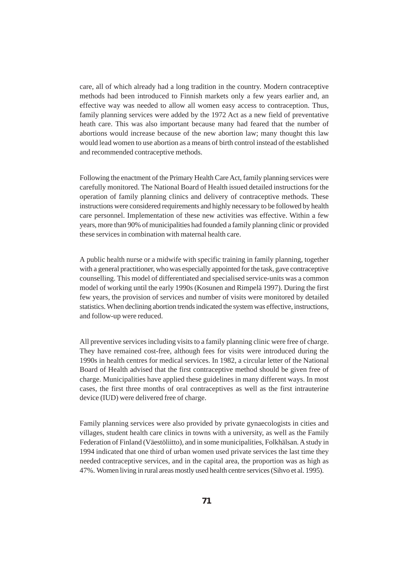care, all of which already had a long tradition in the country. Modern contraceptive methods had been introduced to Finnish markets only a few years earlier and, an effective way was needed to allow all women easy access to contraception. Thus, family planning services were added by the 1972 Act as a new field of preventative heath care. This was also important because many had feared that the number of abortions would increase because of the new abortion law; many thought this law would lead women to use abortion as a means of birth control instead of the established and recommended contraceptive methods.

Following the enactment of the Primary Health Care Act, family planning services were carefully monitored. The National Board of Health issued detailed instructions for the operation of family planning clinics and delivery of contraceptive methods. These instructions were considered requirements and highly necessary to be followed by health care personnel. Implementation of these new activities was effective. Within a few years, more than 90% of municipalities had founded a family planning clinic or provided these services in combination with maternal health care.

A public health nurse or a midwife with specific training in family planning, together with a general practitioner, who was especially appointed for the task, gave contraceptive counselling. This model of differentiated and specialised service-units was a common model of working until the early 1990s (Kosunen and Rimpelä 1997). During the first few years, the provision of services and number of visits were monitored by detailed statistics. When declining abortion trends indicated the system was effective, instructions, and follow-up were reduced.

All preventive services including visits to a family planning clinic were free of charge. They have remained cost-free, although fees for visits were introduced during the 1990s in health centres for medical services. In 1982, a circular letter of the National Board of Health advised that the first contraceptive method should be given free of charge. Municipalities have applied these guidelines in many different ways. In most cases, the first three months of oral contraceptives as well as the first intrauterine device (IUD) were delivered free of charge.

Family planning services were also provided by private gynaecologists in cities and villages, student health care clinics in towns with a university, as well as the Family Federation of Finland (Väestöliitto), and in some municipalities, Folkhälsan. A study in 1994 indicated that one third of urban women used private services the last time they needed contraceptive services, and in the capital area, the proportion was as high as 47%. Women living in rural areas mostly used health centre services (Sihvo et al. 1995).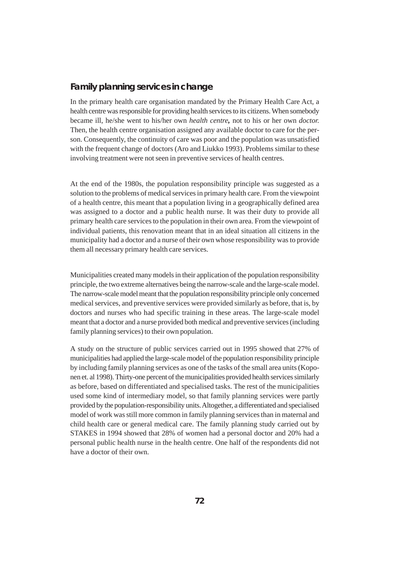### **Family planning services in change**

In the primary health care organisation mandated by the Primary Health Care Act, a health centre was responsible for providing health services to its citizens. When somebody became ill, he/she went to his/her own *health centre,* not to his or her own *doctor.* Then, the health centre organisation assigned any available doctor to care for the person. Consequently, the continuity of care was poor and the population was unsatisfied with the frequent change of doctors (Aro and Liukko 1993). Problems similar to these involving treatment were not seen in preventive services of health centres.

At the end of the 1980s, the population responsibility principle was suggested as a solution to the problems of medical services in primary health care. From the viewpoint of a health centre, this meant that a population living in a geographically defined area was assigned to a doctor and a public health nurse. It was their duty to provide all primary health care services to the population in their own area. From the viewpoint of individual patients, this renovation meant that in an ideal situation all citizens in the municipality had a doctor and a nurse of their own whose responsibility was to provide them all necessary primary health care services.

Municipalities created many models in their application of the population responsibility principle, the two extreme alternatives being the narrow-scale and the large-scale model. The narrow-scale model meant that the population responsibility principle only concerned medical services, and preventive services were provided similarly as before, that is, by doctors and nurses who had specific training in these areas. The large-scale model meant that a doctor and a nurse provided both medical and preventive services (including family planning services) to their own population.

A study on the structure of public services carried out in 1995 showed that 27% of municipalities had applied the large-scale model of the population responsibility principle by including family planning services as one of the tasks of the small area units (Koponen et. al 1998). Thirty-one percent of the municipalities provided health services similarly as before, based on differentiated and specialised tasks. The rest of the municipalities used some kind of intermediary model, so that family planning services were partly provided by the population-responsibility units. Altogether, a differentiated and specialised model of work was still more common in family planning services than in maternal and child health care or general medical care. The family planning study carried out by STAKES in 1994 showed that 28% of women had a personal doctor and 20% had a personal public health nurse in the health centre. One half of the respondents did not have a doctor of their own.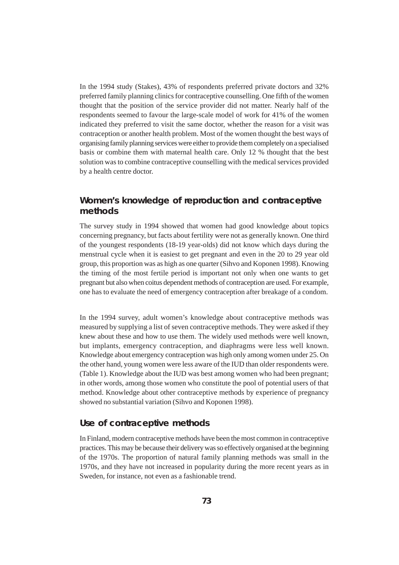In the 1994 study (Stakes), 43% of respondents preferred private doctors and 32% preferred family planning clinics for contraceptive counselling. One fifth of the women thought that the position of the service provider did not matter. Nearly half of the respondents seemed to favour the large-scale model of work for 41% of the women indicated they preferred to visit the same doctor, whether the reason for a visit was contraception or another health problem. Most of the women thought the best ways of organising family planning services were either to provide them completely on a specialised basis or combine them with maternal health care. Only 12 % thought that the best solution was to combine contraceptive counselling with the medical services provided by a health centre doctor.

### **Women's knowledge of reproduction and contraceptive methods**

The survey study in 1994 showed that women had good knowledge about topics concerning pregnancy, but facts about fertility were not as generally known. One third of the youngest respondents (18-19 year-olds) did not know which days during the menstrual cycle when it is easiest to get pregnant and even in the 20 to 29 year old group, this proportion was as high as one quarter (Sihvo and Koponen 1998). Knowing the timing of the most fertile period is important not only when one wants to get pregnant but also when coitus dependent methods of contraception are used. For example, one has to evaluate the need of emergency contraception after breakage of a condom.

In the 1994 survey, adult women's knowledge about contraceptive methods was measured by supplying a list of seven contraceptive methods. They were asked if they knew about these and how to use them. The widely used methods were well known, but implants, emergency contraception, and diaphragms were less well known. Knowledge about emergency contraception was high only among women under 25. On the other hand, young women were less aware of the IUD than older respondents were. (Table 1). Knowledge about the IUD was best among women who had been pregnant; in other words, among those women who constitute the pool of potential users of that method. Knowledge about other contraceptive methods by experience of pregnancy showed no substantial variation (Sihvo and Koponen 1998).

#### **Use of contraceptive methods**

In Finland, modern contraceptive methods have been the most common in contraceptive practices. This may be because their delivery was so effectively organised at the beginning of the 1970s. The proportion of natural family planning methods was small in the 1970s, and they have not increased in popularity during the more recent years as in Sweden, for instance, not even as a fashionable trend.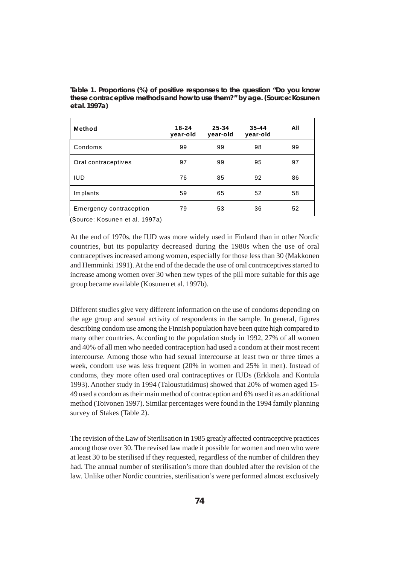| Method                  | $18 - 24$<br>year-old | 25-34<br>year-old | $35 - 44$<br>year-old | All |
|-------------------------|-----------------------|-------------------|-----------------------|-----|
| Condoms                 | 99                    | 99                | 98                    | 99  |
| Oral contraceptives     | 97                    | 99                | 95                    | 97  |
| <b>IUD</b>              | 76                    | 85                | 92                    | 86  |
| Implants                | 59                    | 65                | 52                    | 58  |
| Emergency contraception | 79                    | 53                | 36                    | 52  |

**Table 1. Proportions (%) of positive responses to the question "Do you know these contraceptive methods and how to use them?" by age. (Source: Kosunen et al. 1997a)**

(Source: Kosunen et al. 1997a)

At the end of 1970s, the IUD was more widely used in Finland than in other Nordic countries, but its popularity decreased during the 1980s when the use of oral contraceptives increased among women, especially for those less than 30 (Makkonen and Hemminki 1991). At the end of the decade the use of oral contraceptives started to increase among women over 30 when new types of the pill more suitable for this age group became available (Kosunen et al. 1997b).

Different studies give very different information on the use of condoms depending on the age group and sexual activity of respondents in the sample. In general, figures describing condom use among the Finnish population have been quite high compared to many other countries. According to the population study in 1992, 27% of all women and 40% of all men who needed contraception had used a condom at their most recent intercourse. Among those who had sexual intercourse at least two or three times a week, condom use was less frequent (20% in women and 25% in men). Instead of condoms, they more often used oral contraceptives or IUDs (Erkkola and Kontula 1993). Another study in 1994 (Taloustutkimus) showed that 20% of women aged 15- 49 used a condom as their main method of contraception and 6% used it as an additional method (Toivonen 1997). Similar percentages were found in the 1994 family planning survey of Stakes (Table 2).

The revision of the Law of Sterilisation in 1985 greatly affected contraceptive practices among those over 30. The revised law made it possible for women and men who were at least 30 to be sterilised if they requested, regardless of the number of children they had. The annual number of sterilisation's more than doubled after the revision of the law. Unlike other Nordic countries, sterilisation's were performed almost exclusively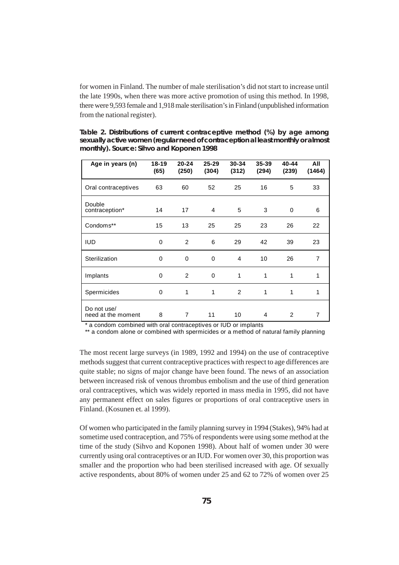for women in Finland. The number of male sterilisation's did not start to increase until the late 1990s, when there was more active promotion of using this method. In 1998, there were 9,593 female and 1,918 male sterilisation's in Finland (unpublished information from the national register).

**Table 2. Distributions of current contraceptive method (%) by age among sexually active women (regular need of contraception al least monthly or almost monthly). Source: Sihvo and Koponen 1998**

| Age in years (n)                  | $18 - 19$<br>(65) | $20 - 24$<br>(250) | $25 - 29$<br>(304) | 30-34<br>(312) | $35 - 39$<br>(294) | 40-44<br>(239) | All<br>(1464)  |
|-----------------------------------|-------------------|--------------------|--------------------|----------------|--------------------|----------------|----------------|
| Oral contraceptives               | 63                | 60                 | 52                 | 25             | 16                 | 5              | 33             |
| Double<br>contraception*          | 14                | 17                 | 4                  | 5              | 3                  | $\Omega$       | 6              |
| Condoms**                         | 15                | 13                 | 25                 | 25             | 23                 | 26             | 22             |
| <b>IUD</b>                        | 0                 | 2                  | 6                  | 29             | 42                 | 39             | 23             |
| Sterilization                     | 0                 | $\Omega$           | $\Omega$           | 4              | 10                 | 26             | $\overline{7}$ |
| Implants                          | 0                 | 2                  | 0                  | 1              | 1                  | 1              | 1              |
| Spermicides                       | 0                 | 1                  | 1                  | 2              | 1                  | 1              | 1              |
| Do not use/<br>need at the moment | 8                 | 7                  | 11                 | 10             | 4                  | 2              | 7              |

\* a condom combined with oral contraceptives or IUD or implants

\*\* a condom alone or combined with spermicides or a method of natural family planning

The most recent large surveys (in 1989, 1992 and 1994) on the use of contraceptive methods suggest that current contraceptive practices with respect to age differences are quite stable; no signs of major change have been found. The news of an association between increased risk of venous thrombus embolism and the use of third generation oral contraceptives, which was widely reported in mass media in 1995, did not have any permanent effect on sales figures or proportions of oral contraceptive users in Finland. (Kosunen et. al 1999).

Of women who participated in the family planning survey in 1994 (Stakes), 94% had at sometime used contraception, and 75% of respondents were using some method at the time of the study (Sihvo and Koponen 1998). About half of women under 30 were currently using oral contraceptives or an IUD. For women over 30, this proportion was smaller and the proportion who had been sterilised increased with age. Of sexually active respondents, about 80% of women under 25 and 62 to 72% of women over 25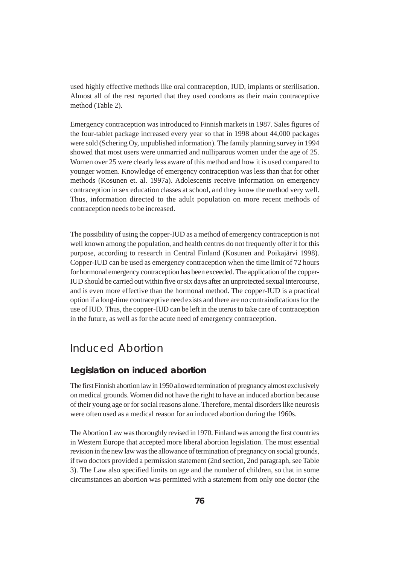used highly effective methods like oral contraception, IUD, implants or sterilisation. Almost all of the rest reported that they used condoms as their main contraceptive method (Table 2).

Emergency contraception was introduced to Finnish markets in 1987. Sales figures of the four-tablet package increased every year so that in 1998 about 44,000 packages were sold (Schering Oy, unpublished information). The family planning survey in 1994 showed that most users were unmarried and nulliparous women under the age of 25. Women over 25 were clearly less aware of this method and how it is used compared to younger women. Knowledge of emergency contraception was less than that for other methods (Kosunen et. al. 1997a). Adolescents receive information on emergency contraception in sex education classes at school, and they know the method very well. Thus, information directed to the adult population on more recent methods of contraception needs to be increased.

The possibility of using the copper-IUD as a method of emergency contraception is not well known among the population, and health centres do not frequently offer it for this purpose, according to research in Central Finland (Kosunen and Poikajärvi 1998). Copper-IUD can be used as emergency contraception when the time limit of 72 hours for hormonal emergency contraception has been exceeded. The application of the copper-IUD should be carried out within five or six days after an unprotected sexual intercourse, and is even more effective than the hormonal method. The copper-IUD is a practical option if a long-time contraceptive need exists and there are no contraindications for the use of IUD. Thus, the copper-IUD can be left in the uterus to take care of contraception in the future, as well as for the acute need of emergency contraception.

## Induced Abortion

### **Legislation on induced abortion**

The first Finnish abortion law in 1950 allowed termination of pregnancy almost exclusively on medical grounds. Women did not have the right to have an induced abortion because of their young age or for social reasons alone. Therefore, mental disorders like neurosis were often used as a medical reason for an induced abortion during the 1960s.

The Abortion Law was thoroughly revised in 1970. Finland was among the first countries in Western Europe that accepted more liberal abortion legislation. The most essential revision in the new law was the allowance of termination of pregnancy on social grounds, if two doctors provided a permission statement (2nd section, 2nd paragraph, see Table 3). The Law also specified limits on age and the number of children, so that in some circumstances an abortion was permitted with a statement from only one doctor (the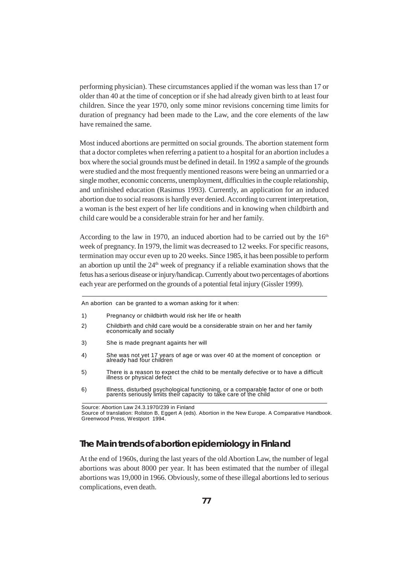performing physician). These circumstances applied if the woman was less than 17 or older than 40 at the time of conception or if she had already given birth to at least four children. Since the year 1970, only some minor revisions concerning time limits for duration of pregnancy had been made to the Law, and the core elements of the law have remained the same.

Most induced abortions are permitted on social grounds. The abortion statement form that a doctor completes when referring a patient to a hospital for an abortion includes a box where the social grounds must be defined in detail. In 1992 a sample of the grounds were studied and the most frequently mentioned reasons were being an unmarried or a single mother, economic concerns, unemployment, difficulties in the couple relationship, and unfinished education (Rasimus 1993). Currently, an application for an induced abortion due to social reasons is hardly ever denied. According to current interpretation, a woman is the best expert of her life conditions and in knowing when childbirth and child care would be a considerable strain for her and her family.

According to the law in 1970, an induced abortion had to be carried out by the  $16<sup>th</sup>$ week of pregnancy. In 1979, the limit was decreased to 12 weeks. For specific reasons, termination may occur even up to 20 weeks. Since 1985, it has been possible to perform an abortion up until the  $24<sup>th</sup>$  week of pregnancy if a reliable examination shows that the fetus has a serious disease or injury/handicap. Currently about two percentages of abortions each year are performed on the grounds of a potential fetal injury (Gissler 1999).

An abortion can be granted to a woman asking for it when:

- 1) Pregnancy or childbirth would risk her life or health
- 2) Childbirth and child care would be a considerable strain on her and her family economically and socially
- 3) She is made pregnant againts her will
- 4) She was not yet 17 years of age or was over 40 at the moment of conception or already had four children
- 5) There is a reason to expect the child to be mentally defective or to have a difficult illness or physical defect
- 6) Illness, disturbed psychological functioning, or a comparable factor of one or both parents seriously limits their capacity to take care of the child

Source of translation: Rolston B, Eggert A (eds). Abortion in the New Europe. A Comparative Handbook. Greenwood Press, Westport 1994.

### **The Main trends of abortion epidemiology in Finland**

At the end of 1960s, during the last years of the old Abortion Law, the number of legal abortions was about 8000 per year. It has been estimated that the number of illegal abortions was 19,000 in 1966. Obviously, some of these illegal abortions led to serious complications, even death.

Source: Abortion Law 24.3.1970/239 in Finland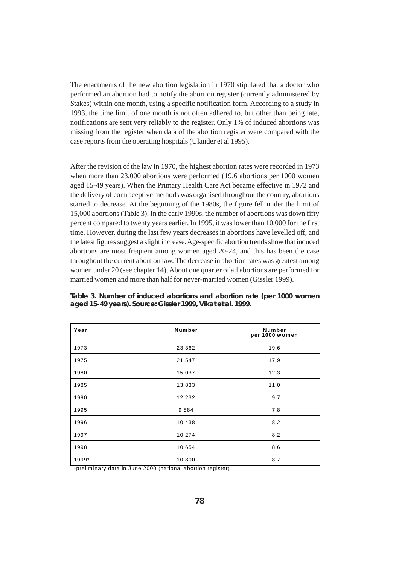The enactments of the new abortion legislation in 1970 stipulated that a doctor who performed an abortion had to notify the abortion register (currently administered by Stakes) within one month, using a specific notification form. According to a study in 1993, the time limit of one month is not often adhered to, but other than being late, notifications are sent very reliably to the register. Only 1% of induced abortions was missing from the register when data of the abortion register were compared with the case reports from the operating hospitals (Ulander et al 1995).

After the revision of the law in 1970, the highest abortion rates were recorded in 1973 when more than 23,000 abortions were performed (19.6 abortions per 1000 women aged 15-49 years). When the Primary Health Care Act became effective in 1972 and the delivery of contraceptive methods was organised throughout the country, abortions started to decrease. At the beginning of the 1980s, the figure fell under the limit of 15,000 abortions (Table 3). In the early 1990s, the number of abortions was down fifty percent compared to twenty years earlier. In 1995, it was lower than 10,000 for the first time. However, during the last few years decreases in abortions have levelled off, and the latest figures suggest a slight increase. Age-specific abortion trends show that induced abortions are most frequent among women aged 20-24, and this has been the case throughout the current abortion law. The decrease in abortion rates was greatest among women under 20 (see chapter 14). About one quarter of all abortions are performed for married women and more than half for never-married women (Gissler 1999).

| Year                                                                                                                                 | Number                                          | Number<br>per 1000 women |
|--------------------------------------------------------------------------------------------------------------------------------------|-------------------------------------------------|--------------------------|
| 1973                                                                                                                                 | 23 362                                          | 19,6                     |
| 1975                                                                                                                                 | 21 547                                          | 17,9                     |
| 1980                                                                                                                                 | 15 037                                          | 12,3                     |
| 1985                                                                                                                                 | 13833                                           | 11,0                     |
| 1990                                                                                                                                 | 12 232                                          | 9,7                      |
| 1995                                                                                                                                 | 9884                                            | 7,8                      |
| 1996                                                                                                                                 | 10 438                                          | 8,2                      |
| 1997                                                                                                                                 | 10 274                                          | 8,2                      |
| 1998                                                                                                                                 | 10 654                                          | 8,6                      |
| 1999*<br>the contract of the contract of the contract of the contract of the contract of the contract of the contract of<br>$\cdots$ | 10 800<br>$\frac{1}{2}$<br>$\sim$ $\sim$ $\sim$ | 8,7                      |

**Table 3. Number of induced abortions and abortion rate (per 1000 women aged 15-49 years). Source: Gissler 1999, Vikat et al. 1999.**

\*preliminary data in June 2000 (national abortion register)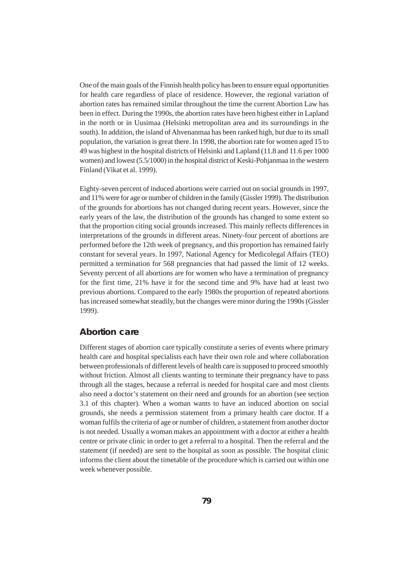One of the main goals of the Finnish health policy has been to ensure equal opportunities for health care regardless of place of residence. However, the regional variation of abortion rates has remained similar throughout the time the current Abortion Law has been in effect. During the 1990s, the abortion rates have been highest either in Lapland in the north or in Uusimaa (Helsinki metropolitan area and its surroundings in the south). In addition, the island of Ahvenanmaa has been ranked high, but due to its small population, the variation is great there. In 1998, the abortion rate for women aged 15 to 49 was highest in the hospital districts of Helsinki and Lapland (11.8 and 11.6 per 1000 women) and lowest (5.5/1000) in the hospital district of Keski-Pohjanmaa in the western Finland (Vikat et al. 1999).

Eighty-seven percent of induced abortions were carried out on social grounds in 1997, and 11% were for age or number of children in the family (Gissler 1999). The distribution of the grounds for abortions has not changed during recent years. However, since the early years of the law, the distribution of the grounds has changed to some extent so that the proportion citing social grounds increased. This mainly reflects differences in interpretations of the grounds in different areas. Ninety-four percent of abortions are performed before the 12th week of pregnancy, and this proportion has remained fairly constant for several years. In 1997, National Agency for Medicolegal Affairs (TEO) permitted a termination for 568 pregnancies that had passed the limit of 12 weeks. Seventy percent of all abortions are for women who have a termination of pregnancy for the first time, 21% have it for the second time and 9% have had at least two previous abortions. Compared to the early 1980s the proportion of repeated abortions has increased somewhat steadily, but the changes were minor during the 1990s (Gissler 1999).

#### **Abortion care**

Different stages of abortion care typically constitute a series of events where primary health care and hospital specialists each have their own role and where collaboration between professionals of different levels of health care is supposed to proceed smoothly without friction. Almost all clients wanting to terminate their pregnancy have to pass through all the stages, because a referral is needed for hospital care and most clients also need a doctor's statement on their need and grounds for an abortion (see section 3.1 of this chapter). When a woman wants to have an induced abortion on social grounds, she needs a permission statement from a primary health care doctor. If a woman fulfils the criteria of age or number of children, a statement from another doctor is not needed. Usually a woman makes an appointment with a doctor at either a health centre or private clinic in order to get a referral to a hospital. Then the referral and the statement (if needed) are sent to the hospital as soon as possible. The hospital clinic informs the client about the timetable of the procedure which is carried out within one week whenever possible.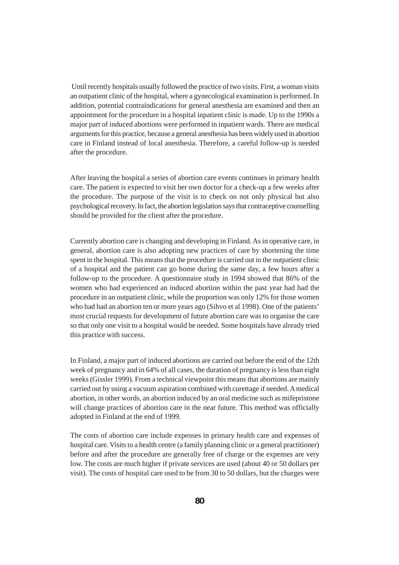Until recently hospitals usually followed the practice of two visits. First, a woman visits an outpatient clinic of the hospital, where a gynecological examination is performed. In addition, potential contraindications for general anesthesia are examined and then an appointment for the procedure in a hospital inpatient clinic is made. Up to the 1990s a major part of induced abortions were performed in inpatient wards. There are medical arguments for this practice, because a general anesthesia has been widely used in abortion care in Finland instead of local anesthesia. Therefore, a careful follow-up is needed after the procedure.

After leaving the hospital a series of abortion care events continues in primary health care. The patient is expected to visit her own doctor for a check-up a few weeks after the procedure. The purpose of the visit is to check on not only physical but also psychological recovery. In fact, the abortion legislation says that contraceptive counselling should be provided for the client after the procedure.

Currently abortion care is changing and developing in Finland. As in operative care, in general, abortion care is also adopting new practices of care by shortening the time spent in the hospital. This means that the procedure is carried out in the outpatient clinic of a hospital and the patient can go home during the same day, a few hours after a follow-up to the procedure. A questionnaire study in 1994 showed that 86% of the women who had experienced an induced abortion within the past year had had the procedure in an outpatient clinic, while the proportion was only 12% for those women who had had an abortion ten or more years ago (Sihvo et al 1998). One of the patients' most crucial requests for development of future abortion care was to organise the care so that only one visit to a hospital would be needed. Some hospitals have already tried this practice with success.

In Finland, a major part of induced abortions are carried out before the end of the 12th week of pregnancy and in 64% of all cases, the duration of pregnancy is less than eight weeks (Gissler 1999). From a technical viewpoint this means that abortions are mainly carried out by using a vacuum aspiration combined with curettage if needed. A medical abortion, in other words, an abortion induced by an oral medicine such as mifepristone will change practices of abortion care in the near future. This method was officially adopted in Finland at the end of 1999.

The costs of abortion care include expenses in primary health care and expenses of hospital care. Visits to a health centre (a family planning clinic or a general practitioner) before and after the procedure are generally free of charge or the expenses are very low. The costs are much higher if private services are used (about 40 or 50 dollars per visit). The costs of hospital care used to be from 30 to 50 dollars, but the charges were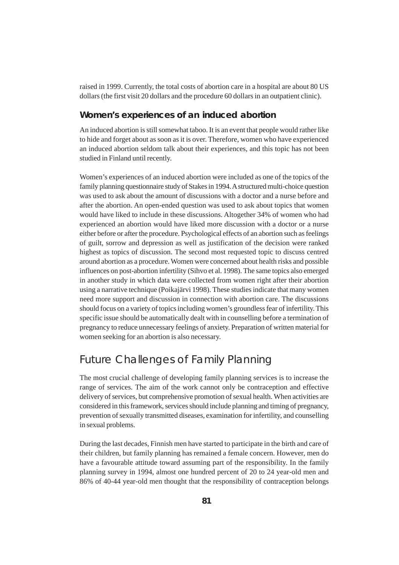raised in 1999. Currently, the total costs of abortion care in a hospital are about 80 US dollars (the first visit 20 dollars and the procedure 60 dollars in an outpatient clinic).

#### **Women's experiences of an induced abortion**

An induced abortion is still somewhat taboo. It is an event that people would rather like to hide and forget about as soon as it is over. Therefore, women who have experienced an induced abortion seldom talk about their experiences, and this topic has not been studied in Finland until recently.

Women's experiences of an induced abortion were included as one of the topics of the family planning questionnaire study of Stakes in 1994. A structured multi-choice question was used to ask about the amount of discussions with a doctor and a nurse before and after the abortion. An open-ended question was used to ask about topics that women would have liked to include in these discussions. Altogether 34% of women who had experienced an abortion would have liked more discussion with a doctor or a nurse either before or after the procedure. Psychological effects of an abortion such as feelings of guilt, sorrow and depression as well as justification of the decision were ranked highest as topics of discussion. The second most requested topic to discuss centred around abortion as a procedure. Women were concerned about health risks and possible influences on post-abortion infertility (Sihvo et al. 1998). The same topics also emerged in another study in which data were collected from women right after their abortion using a narrative technique (Poikajärvi 1998). These studies indicate that many women need more support and discussion in connection with abortion care. The discussions should focus on a variety of topics including women's groundless fear of infertility. This specific issue should be automatically dealt with in counselling before a termination of pregnancy to reduce unnecessary feelings of anxiety. Preparation of written material for women seeking for an abortion is also necessary.

# Future Challenges of Family Planning

The most crucial challenge of developing family planning services is to increase the range of services. The aim of the work cannot only be contraception and effective delivery of services, but comprehensive promotion of sexual health. When activities are considered in this framework, services should include planning and timing of pregnancy, prevention of sexually transmitted diseases, examination for infertility, and counselling in sexual problems.

During the last decades, Finnish men have started to participate in the birth and care of their children, but family planning has remained a female concern. However, men do have a favourable attitude toward assuming part of the responsibility. In the family planning survey in 1994, almost one hundred percent of 20 to 24 year-old men and 86% of 40-44 year-old men thought that the responsibility of contraception belongs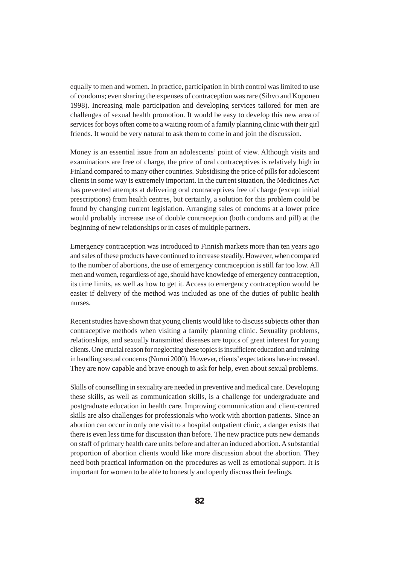equally to men and women. In practice, participation in birth control was limited to use of condoms; even sharing the expenses of contraception was rare (Sihvo and Koponen 1998). Increasing male participation and developing services tailored for men are challenges of sexual health promotion. It would be easy to develop this new area of services for boys often come to a waiting room of a family planning clinic with their girl friends. It would be very natural to ask them to come in and join the discussion.

Money is an essential issue from an adolescents' point of view. Although visits and examinations are free of charge, the price of oral contraceptives is relatively high in Finland compared to many other countries. Subsidising the price of pills for adolescent clients in some way is extremely important. In the current situation, the Medicines Act has prevented attempts at delivering oral contraceptives free of charge (except initial prescriptions) from health centres, but certainly, a solution for this problem could be found by changing current legislation. Arranging sales of condoms at a lower price would probably increase use of double contraception (both condoms and pill) at the beginning of new relationships or in cases of multiple partners.

Emergency contraception was introduced to Finnish markets more than ten years ago and sales of these products have continued to increase steadily. However, when compared to the number of abortions, the use of emergency contraception is still far too low. All men and women, regardless of age, should have knowledge of emergency contraception, its time limits, as well as how to get it. Access to emergency contraception would be easier if delivery of the method was included as one of the duties of public health nurses.

Recent studies have shown that young clients would like to discuss subjects other than contraceptive methods when visiting a family planning clinic. Sexuality problems, relationships, and sexually transmitted diseases are topics of great interest for young clients. One crucial reason for neglecting these topics is insufficient education and training in handling sexual concerns (Nurmi 2000). However, clients' expectations have increased. They are now capable and brave enough to ask for help, even about sexual problems.

Skills of counselling in sexuality are needed in preventive and medical care. Developing these skills, as well as communication skills, is a challenge for undergraduate and postgraduate education in health care. Improving communication and client-centred skills are also challenges for professionals who work with abortion patients. Since an abortion can occur in only one visit to a hospital outpatient clinic, a danger exists that there is even less time for discussion than before. The new practice puts new demands on staff of primary health care units before and after an induced abortion. A substantial proportion of abortion clients would like more discussion about the abortion. They need both practical information on the procedures as well as emotional support. It is important for women to be able to honestly and openly discuss their feelings.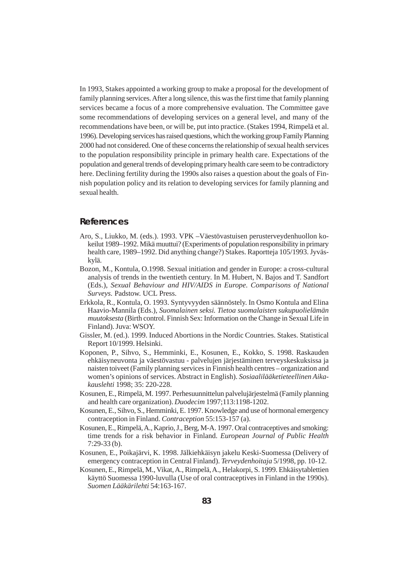In 1993, Stakes appointed a working group to make a proposal for the development of family planning services. After a long silence, this was the first time that family planning services became a focus of a more comprehensive evaluation. The Committee gave some recommendations of developing services on a general level, and many of the recommendations have been, or will be, put into practice. (Stakes 1994, Rimpelä et al. 1996). Developing services has raised questions, which the working group Family Planning 2000 had not considered. One of these concerns the relationship of sexual health services to the population responsibility principle in primary health care. Expectations of the population and general trends of developing primary health care seem to be contradictory here. Declining fertility during the 1990s also raises a question about the goals of Finnish population policy and its relation to developing services for family planning and sexual health.

#### **References**

- Aro, S., Liukko, M. (eds.). 1993. VPK –Väestövastuisen perusterveydenhuollon kokeilut 1989–1992. Mikä muuttui? (Experiments of population responsibility in primary health care, 1989–1992. Did anything change?) Stakes. Raportteja 105/1993. Jyväskylä.
- Bozon, M., Kontula, O.1998. Sexual initiation and gender in Europe: a cross-cultural analysis of trends in the twentieth century. In M. Hubert, N. Bajos and T. Sandfort (Eds.), *Sexual Behaviour and HIV/AIDS in Europe. Comparisons of National Surveys.* Padstow. UCL Press.
- Erkkola, R., Kontula, O. 1993. Syntyvyyden säännöstely. In Osmo Kontula and Elina Haavio-Mannila (Eds.), *Suomalainen seksi. Tietoa suomalaisten sukupuolielämän muutoksesta* (Birth control. Finnish Sex: Information on the Change in Sexual Life in Finland). Juva: WSOY.
- Gissler, M. (ed.). 1999. Induced Abortions in the Nordic Countries. Stakes. Statistical Report 10/1999. Helsinki.
- Koponen, P., Sihvo, S., Hemminki, E., Kosunen, E., Kokko, S. 1998. Raskauden ehkäisyneuvonta ja väestövastuu - palvelujen järjestäminen terveyskeskuksissa ja naisten toiveet (Family planning services in Finnish health centres – organization and women's opinions of services. Abstract in English). *Sosiaalilääketieteellinen Aikakauslehti* 1998; 35: 220-228.
- Kosunen, E., Rimpelä, M. 1997. Perhesuunnittelun palvelujärjestelmä (Family planning and health care organization). *Duodecim* 1997;113:1198-1202.
- Kosunen, E., Sihvo, S., Hemminki, E. 1997. Knowledge and use of hormonal emergency contraception in Finland. *Contraception* 55:153-157 (a).
- Kosunen, E., Rimpelä, A., Kaprio, J., Berg, M-A. 1997. Oral contraceptives and smoking: time trends for a risk behavior in Finland. *European Journal of Public Health* 7:29-33 (b).
- Kosunen, E., Poikajärvi, K. 1998. Jälkiehkäisyn jakelu Keski-Suomessa (Delivery of emergency contraception in Central Finland). *Terveydenhoitaja* 5/1998, pp. 10-12.
- Kosunen, E., Rimpelä, M., Vikat, A., Rimpelä, A., Helakorpi, S. 1999. Ehkäisytablettien käyttö Suomessa 1990-luvulla (Use of oral contraceptives in Finland in the 1990s). *Suomen Lääkärilehti* 54:163-167.